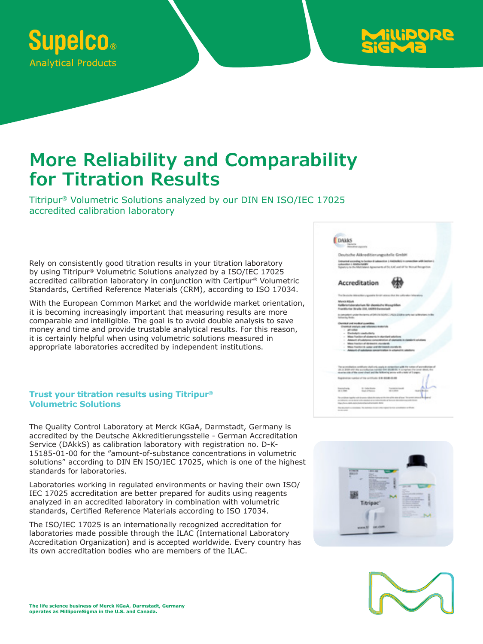



# **More Reliability and Comparability for Titration Results**

Titripur® Volumetric Solutions analyzed by our DIN EN ISO/IEC 17025 accredited calibration laboratory

Rely on consistently good titration results in your titration laboratory by using Titripur® Volumetric Solutions analyzed by a ISO/IEC 17025 accredited calibration laboratory in conjunction with Certipur® Volumetric Standards, Certified Reference Materials (CRM), according to ISO 17034.

With the European Common Market and the worldwide market orientation, it is becoming increasingly important that measuring results are more comparable and intelligible. The goal is to avoid double analysis to save money and time and provide trustable analytical results. For this reason, it is certainly helpful when using volumetric solutions measured in appropriate laboratories accredited by independent institutions.

### **Trust your titration results using Titripur® Volumetric Solutions**

The Quality Control Laboratory at Merck KGaA, Darmstadt, Germany is accredited by the Deutsche Akkreditierungsstelle - German Accreditation Service (DAkkS) as calibration laboratory with registration no. D-K-15185-01-00 for the "amount-of-substance concentrations in volumetric solutions" according to DIN EN ISO/IEC 17025, which is one of the highest standards for laboratories.

Laboratories working in regulated environments or having their own ISO/ IEC 17025 accreditation are better prepared for audits using reagents analyzed in an accredited laboratory in combination with volumetric standards, Certified Reference Materials according to ISO 17034.

The ISO/IEC 17025 is an internationally recognized accreditation for laboratories made possible through the ILAC (International Laboratory Accreditation Organization) and is accepted worldwide. Every country has its own accreditation bodies who are members of the ILAC.



### Accreditation